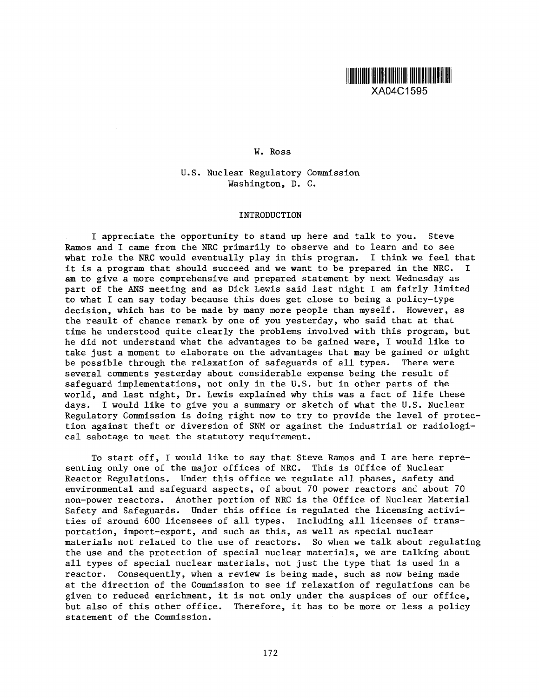

## W. Ross

U.S. Nuclear Regulatory Commission Washington, D. C.

## INTRODUCTION

I appreciate the opportunity to stand up here and talk to you. Steve Ramos and I came from the NRC primarily to observe and to learn and to see what role the NRC would eventually play in this program. I think we feel that it is a program that should succeed and we want to be prepared in the NRC. I am to give a more comprehensive and prepared statement by next Wednesday as part of the ANS meeting and as Dick Lewis said last night I am fairly limited to what I can say today because this does get close to being a policy-type decision, which has to be made by many more people than myself. However, as the result of chance remark by one of you yesterday, who said that at that time he understood quite clearly the problems involved with this program, but he did not understand what the advantages to be gained were, I would like to take just a moment to elaborate on the advantages that may be gained or might be possible through the relaxation of safeguards of all types. There were several comments yesterday about considerable expense being the result of safeguard implementations, not only in the U.S. but in other parts of the world, and last night, Dr. Lewis explained why this was a fact of life these days. I would like to give you a summary or sketch of what the U.S. Nuclear Regulatory Commission is doing right now to try to provide the level of protection against theft or diversion of SNM or against the industrial or radiological sabotage to meet the statutory requirement.

To start off, I would like to say that Steve Ramos and I are here representing only one of the major offices of NRC. This is Office of Nuclear Reactor Regulations. Under this office we regulate all phases, safety and environmental and safeguard aspects, of about 70 power reactors and about 70 non-power reactors. Another portion of NRC is the Office of Nuclear Material Safety and Safeguards. Under this office is regulated the licensing activities of around 600 licensees of all types. Including all licenses of transportation, import-export, and such as this, as well as special nuclear materials not related to the use of reactors. So when we talk about regulating the use and the protection of special nuclear materials, we are talking about all types of special nuclear materials, not just the type that is used in a reactor. Consequently, when a review is being made, such as now being made at the direction of the Commission to see if relaxation of regulations can be given to reduced enrichment, it is not only under the auspices of our office, but also of this other office. Therefore, it has to be more or less a policy statement of the Commission.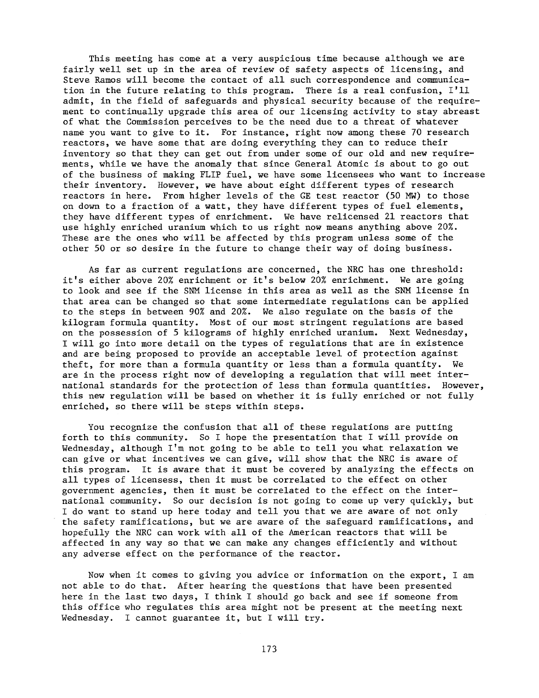This meeting has come at a very auspicious time because although we are fairly well set up in the area of review of safety aspects of licensing, and Steve Ramos will become the contact of all such correspondence and communication in the future relating to this program. There is a real confusion, I'll admit, in the field of safeguards and physical security because of the requirement to continually upgrade this area of our licensing activity to stay abreast of what the Commission perceives to be the need due to a threat of whatever name you want to give to it. For instance, right now among these 70 research reactors, we have some that are doing everything they can to reduce their inventory so that they can get out from under some of our old and new requirements, while we have the anomaly that since General Atomic is about to go out of the business of making FLIP fuel, we have some licensees who want to increase their inventory. However, we have about eight different types of research reactors in here. From higher levels of the GE test reactor (50 *MW)* to those on down to a fraction of a watt, they have different types of fuel elements, they have different types of enrichment. We have relicensed 21 reactors that use highly enriched uranium which to us right now means anything above 20%. These are the ones who will be affected by this program unless some of the other 50 or so desire in the future to change their way of doing business.

As far as current regulations are concerned, the NRC has one threshold: it's either above 20% enrichment or it's below 20% enrichment. We are going to look and see if the SNM license in this area as well as the SNM license in that area can be changed so that some intermediate regulations can be applied to the steps in between 90% and 20%. We also regulate on the basis of the kilogram formula quantity. Most of our most stringent regulations are based on the possession of 5 kilograms of highly enriched uranium. Next Wednesday, I will go into more detail on the types of regulations that are in existence and are being proposed to provide an acceptable level of protection against theft, for more than a formula quantity or less than a formula quantity. We are in the process right now of developing a regulation that will meet international standards for the protection of less than formula quantities. However, this new regulation will be based on whether it is fully enriched or not fully enriched, so there will be steps within steps.

You recognize the confusion that all of these regulations are putting forth to this community. So I hope the presentation that I will provide on Wednesday, although I'm not going to be able to tell you what relaxation we can give or what incentives we can give, will show that the NRC is aware of this program. It is aware that it must be covered by analyzing the effects on all types of licensess, then it must be correlated to the effect on other government agencies, then it must be correlated to the effect on the international community. So our decision is not going to come up very quickly, but I do want to stand up here today and tell you that we are aware of not only the safety ramifications, but we are aware of the safeguard ramifications, and hopefully the NRC can work with all of the American reactors that will be affected in any way so that we can make any changes efficiently and without any adverse effect on the performance of the reactor.

Now when it comes to giving you advice or information on the export, I am not able to do that. After hearing the questions that have been presented here in the last two days, I think I should go back and see if someone from this office who regulates this area might not be present at the meeting next Wednesday. I cannot guarantee it, but I will try.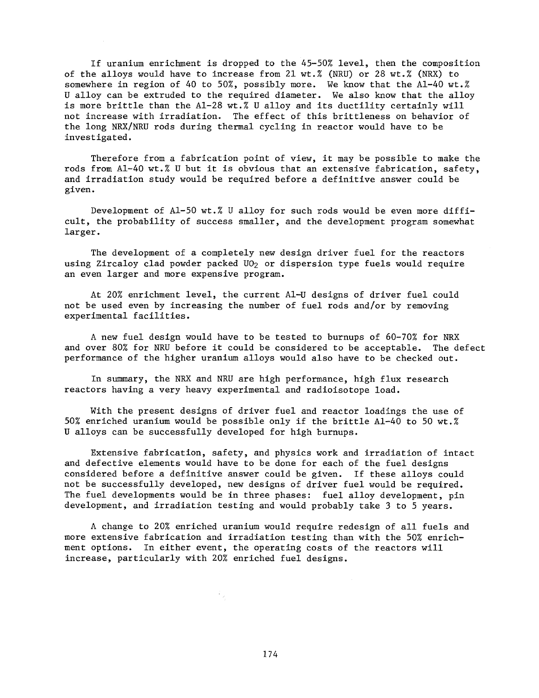If uranium enrichment is dropped to the 45-50% level, then the composition of the alloys would have to increase from 21 wt.% (NRU) or 28 wt.% (NRX) to somewhere in region of 40 to 50%, possibly more. We know that the Al-40 wt.% U alloy can be extruded to the required diameter. We also know that the alloy is more brittle than the Al-28 wt.% U alloy and its ductility certainly will not increase with irradiation. The effect of this brittleness on behavior of the long NRX/NRU rods during thermal cycling in reactor would have to be investigated.

Therefore from a fabrication point of view, it may be possible to make the rods from Al-40 wt.% U but it is obvious that an extensive fabrication, safety, and irradiation study would be required before a definitive answer could be given.

Development of Al-50 wt.% U alloy for such rods would be even more difficult, the probability of success smaller, and the development program somewhat larger.

The development of a completely new design driver fuel for the reactors using Zircaloy clad powder packed  $U0<sub>2</sub>$  or dispersion type fuels would require an even larger and more expensive program.

At 20% enrichment level, the current Al-U designs of driver fuel could not be used even by increasing the number of fuel rods and/or by removing experimental facilities.

A new fuel design would have to be tested to burnups of 60-70% for NRX and over 80% for NRU before it could be considered to be acceptable. The defect performance of the higher uranium alloys would also have to be checked out.

In summary, the NRX and NRU are high performance, high flux research reactors having a very heavy experimental and radioisotope load.

With the present designs of driver fuel and reactor loadings the use of 50% enriched uranium would be possible only if the brittle Al-40 to 50 wt.% U alloys can be successfully developed for high burnups.

Extensive fabrication, safety, and physics work and irradiation of intact and defective elements would have to be done for each of the fuel designs considered before a definitive answer could be given. If these alloys could not be successfully developed, new designs of driver fuel would be required. The fuel developments would be in three phases: fuel alloy development, pin development, and irradiation testing and would probably take 3 to 5 years.

A change to 20% enriched uranium would require redesign of all fuels and more extensive fabrication and irradiation testing than with the 50% enrichment options. In either event, the operating costs of the reactors will increase, particularly with 20% enriched fuel designs.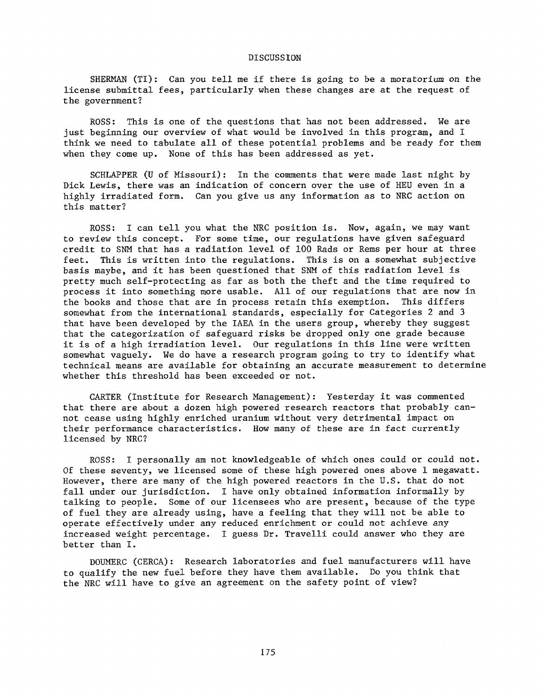## DISCUSSION

SHERMAN (TI): Can you tell me if there is going to be a moratorium on the license submittal fees, particularly when these changes are at the request of the government?

ROSS: This is one of the questions that has not been addressed. We are just beginning our overview of what would be involved in this program, and I think we need to tabulate all of these potential problems and be ready for them when they come up. None of this has been addressed as yet.

SCHLAPPER (U of Missouri): In the comments that were made last night by Dick Lewis, there was an indication of concern over the use of HEU even in a highly irradiated form. Can you give us any information as to NRC action on this matter?

ROSS: I can tell you what the NRC position is. Now, again, we may want to review this concept. For some time, our regulations have given safeguard credit to SNM that has a radiation level of 100 Rads or Rems per hour at three feet. This is written into the regulations. This is on a somewhat subjective basis maybe, and it has been questioned that SNM of this radiation level is pretty much self-protecting as far as both the theft and the time required to process it into something more usable. All of our regulations that are now in the books and those that are in process retain this exemption. This differs the books and those that are in process retain this exemption. somewhat from the international standards, especially for Categories 2 and 3 that have been developed by the IAEA in the users group, whereby they suggest that the categorization of safeguard risks be dropped only one grade because it is of a high irradiation level. Our regulations in this line were written somewhat vaguely. We do have a research program going to try to identify what technical means are available for obtaining an accurate measurement to determine whether this threshold has been exceeded or not.

CARTER (Institute for Research Management): Yesterday it was commented that there are about a dozen high powered research reactors that probably cannot cease using highly enriched uranium without very detrimental impact on their performance characteristics. How many of these are in fact currently licensed by NRC?

ROSS: I personally am not knowledgeable of which ones could or could not. Of these seventy, we licensed some of these high powered ones above  $1$  megawatt. However, there are many of the high powered reactors in the U.S. that do not fall under our jurisdiction. I have only obtained information informally by talking to people. Some of our licensees who are present, because of the type of fuel they are already using, have a feeling that they will not be able to operate effectively under any reduced enrichment or could not achieve any increased weight percentage. I guess Dr. Travelli could answer who they are better than I.

DOUMERC (CERCA): Research laboratories and fuel manufacturers will have to qualify the new fuel before they have them available. Do you think that the NRC will have to give an agreement on the safety point of view?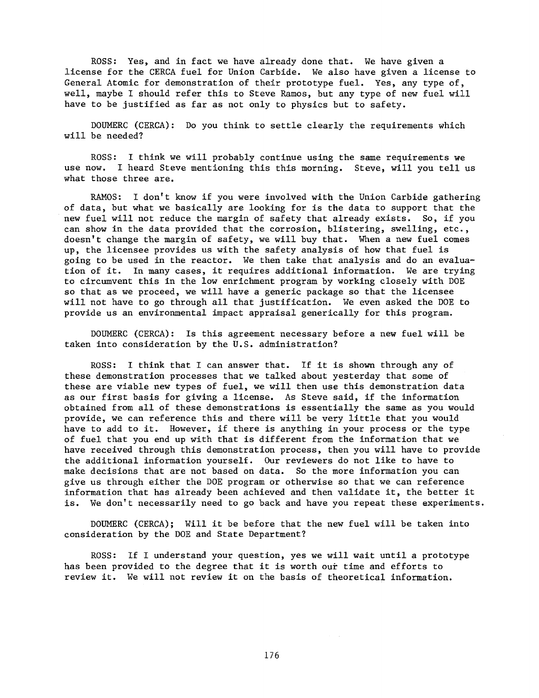ROSS: Yes, and in fact we have already done that. We have given a license for the CERCA fuel for Union Carbide. We also have given a license to General Atomic for demonstration of their prototype fuel. Yes, any type of, well, maybe I should refer this to Steve Ramos, but any type of new fuel will have to be justified as far as not only to physics but to safety.

DOUMERC (CERCA): Do you think to settle clearly the requirements which will be needed?

ROSS: I think we will probably continue using the same requirements we use now. I heard Steve mentioning this this morning. Steve, will you tell us what those three are.

RAMOS: I don't know if you were involved with the Union Carbide gathering of data, but what we basically are looking for is the data to support that the new fuel will not reduce the margin of safety that already exists. So, if you can show in the data provided that the corrosion, blistering, swelling, etc., doesn't change the margin of safety, we will buy that. When a new fuel comes up, the licensee provides us with the safety analysis of how that fuel is going to be used in the reactor. We then take that analysis and do an evaluation of it. In many cases, it requires additional information. We are trying to circumvent this in the low enrichment program by working closely with DOE so that as we proceed, we will have a generic package so that the licensee will not have to go through all that justification. We even asked the DOE to provide us an environmental impact appraisal generically for this program.

DOUMERC (CERCA): Is this agreement necessary before a new fuel will be taken into consideration by the U.S. administration?

ROSS: I think that I can answer that. If it is shown through any of these demonstration processes that we talked about yesterday that some of these are viable new types of fuel, we will then use this demonstration data as our first basis for giving a license. As Steve said, if the information obtained from all of these demonstrations is essentially the same as you would provide, we can reference this and there will be very little that you would have to add to it. However, if there is anything in your process or the type of fuel that you end up with that is different from the information that we have received through this demonstration process, then you will have to provide the additional information yourself. Our reviewers do not like to have to make decisions that are not based on data. So the more information you can give us through either the DOE program or otherwise so that we can reference information that has already been achieved and then validate it, the better it is. We don't necessarily need to go back and have you repeat these experiments.

DOUMERC (CERCA); Will it be before that the new fuel will be taken into consideration by the DOE and State Department?

ROSS: If I understand your question, yes we will wait until a prototype has been provided to the degree that it is worth out time and efforts to review it. We will not review it on the basis of theoretical information.